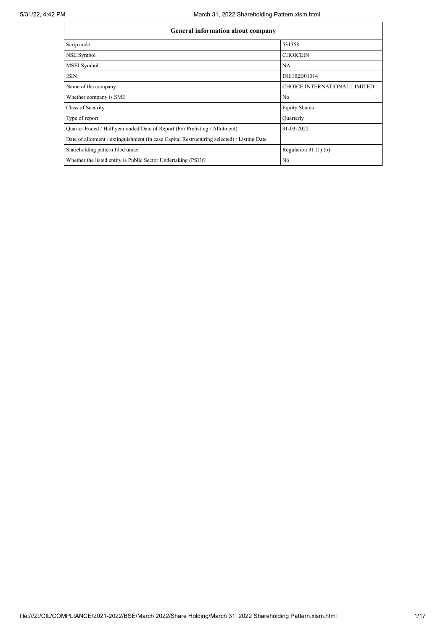| <b>General information about company</b> |  |
|------------------------------------------|--|
|                                          |  |

| Scrip code                                                                                 | 531358                              |
|--------------------------------------------------------------------------------------------|-------------------------------------|
| NSE Symbol                                                                                 | <b>CHOICEIN</b>                     |
| MSEI Symbol                                                                                | NA                                  |
| <b>ISIN</b>                                                                                | INE102B01014                        |
| Name of the company                                                                        | <b>CHOICE INTERNATIONAL LIMITED</b> |
| Whether company is SME                                                                     | N <sub>o</sub>                      |
| Class of Security                                                                          | <b>Equity Shares</b>                |
| Type of report                                                                             | Quarterly                           |
| Quarter Ended / Half year ended/Date of Report (For Prelisting / Allotment)                | 31-03-2022                          |
| Date of allotment / extinguishment (in case Capital Restructuring selected) / Listing Date |                                     |
| Shareholding pattern filed under                                                           | Regulation $31(1)(b)$               |
| Whether the listed entity is Public Sector Undertaking (PSU)?                              | N <sub>o</sub>                      |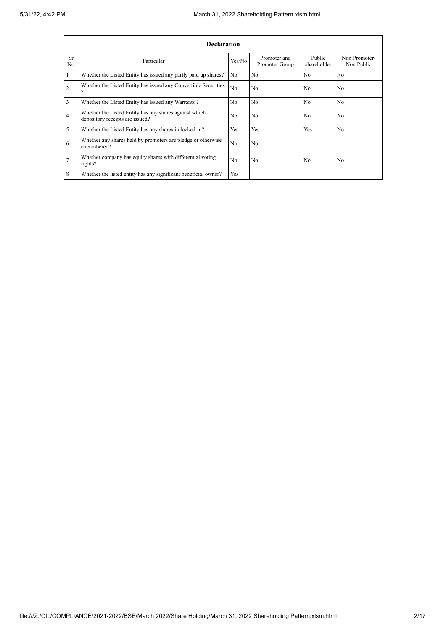|                | <b>Declaration</b>                                                                        |                |                                |                       |                             |  |  |  |  |
|----------------|-------------------------------------------------------------------------------------------|----------------|--------------------------------|-----------------------|-----------------------------|--|--|--|--|
| Sr.<br>No.     | Particular                                                                                | Yes/No         | Promoter and<br>Promoter Group | Public<br>shareholder | Non Promoter-<br>Non Public |  |  |  |  |
|                | Whether the Listed Entity has issued any partly paid up shares?                           | No             | N <sub>0</sub>                 | N <sub>0</sub>        | N <sub>0</sub>              |  |  |  |  |
| $\overline{2}$ | Whether the Listed Entity has issued any Convertible Securities                           | N <sub>0</sub> | No                             | N <sub>0</sub>        | N <sub>0</sub>              |  |  |  |  |
| 3              | Whether the Listed Entity has issued any Warrants?                                        | No             | N <sub>0</sub>                 | N <sub>0</sub>        | N <sub>0</sub>              |  |  |  |  |
| 4              | Whether the Listed Entity has any shares against which<br>depository receipts are issued? | No             | No                             | N <sub>0</sub>        | N <sub>0</sub>              |  |  |  |  |
| 5              | Whether the Listed Entity has any shares in locked-in?                                    | Yes            | Yes                            | Yes                   | N <sub>o</sub>              |  |  |  |  |
| 6              | Whether any shares held by promoters are pledge or otherwise<br>encumbered?               | No             | No                             |                       |                             |  |  |  |  |
|                | Whether company has equity shares with differential voting<br>rights?                     | N <sub>0</sub> | N <sub>0</sub>                 | N <sub>o</sub>        | N <sub>0</sub>              |  |  |  |  |
| 8              | Whether the listed entity has any significant beneficial owner?                           | Yes            |                                |                       |                             |  |  |  |  |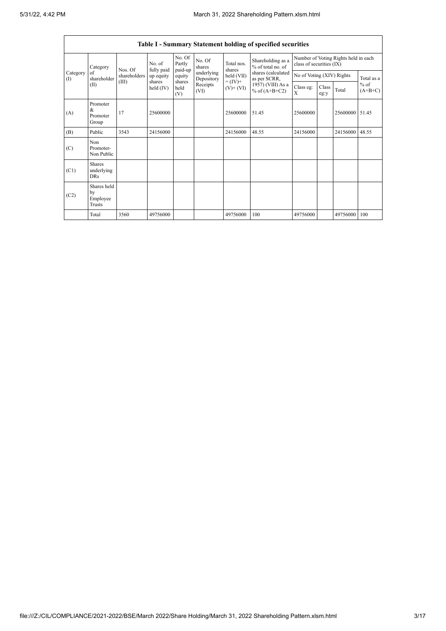r

h

|                          | <b>Table I - Summary Statement holding of specified securities</b> |              |                      |                             |                          |                                                                    |                                        |                                                                  |               |          |                     |  |
|--------------------------|--------------------------------------------------------------------|--------------|----------------------|-----------------------------|--------------------------|--------------------------------------------------------------------|----------------------------------------|------------------------------------------------------------------|---------------|----------|---------------------|--|
|                          | Category                                                           | Nos. Of      | No. of<br>fully paid | No. Of<br>Partly<br>paid-up | No. Of<br>shares         | Total nos.<br>shares<br>held (VII)<br>$= (IV) +$<br>$(V)$ + $(VI)$ | Shareholding as a<br>% of total no. of | Number of Voting Rights held in each<br>class of securities (IX) |               |          |                     |  |
| Category<br>$($ $\Gamma$ | of<br>shareholder                                                  | shareholders | up equity            | equity                      | underlying<br>Depository |                                                                    | shares (calculated<br>as per SCRR,     | No of Voting (XIV) Rights                                        |               |          | Total as a          |  |
|                          | (II)                                                               | (III)        | shares<br>held (IV)  | shares<br>held<br>(V)       | Receipts<br>(VI)         |                                                                    | 1957) (VIII) As a<br>% of $(A+B+C2)$   | Class eg:<br>X                                                   | Class<br>eg:y | Total    | $%$ of<br>$(A+B+C)$ |  |
| (A)                      | Promoter<br>&<br>Promoter<br>Group                                 | 17           | 25600000             |                             |                          | 25600000                                                           | 51.45                                  | 25600000                                                         |               | 25600000 | 51.45               |  |
| (B)                      | Public                                                             | 3543         | 24156000             |                             |                          | 24156000                                                           | 48.55                                  | 24156000                                                         |               | 24156000 | 48.55               |  |
| (C)                      | Non<br>Promoter-<br>Non Public                                     |              |                      |                             |                          |                                                                    |                                        |                                                                  |               |          |                     |  |
| (C1)                     | <b>Shares</b><br>underlying<br><b>DRs</b>                          |              |                      |                             |                          |                                                                    |                                        |                                                                  |               |          |                     |  |
| (C2)                     | Shares held<br>by<br>Employee<br>Trusts                            |              |                      |                             |                          |                                                                    |                                        |                                                                  |               |          |                     |  |
|                          | Total                                                              | 3560         | 49756000             |                             |                          | 49756000                                                           | 100                                    | 49756000                                                         |               | 49756000 | 100                 |  |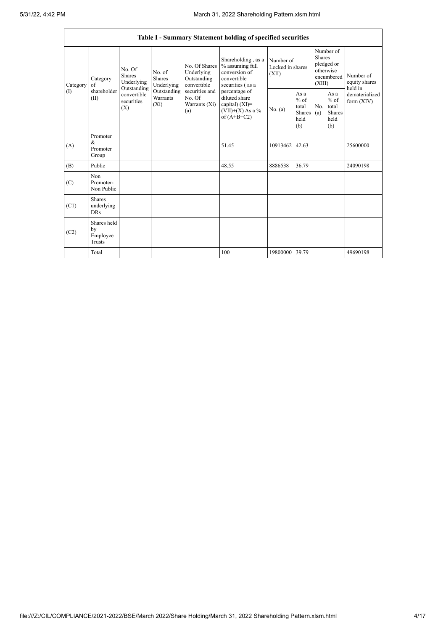|                 | Table I - Summary Statement holding of specified securities |                                                                                              |                                       |                                                                                                               |                                                                                                                                                                                         |                                        |                                                  |                                                                               |                                                         |                                       |
|-----------------|-------------------------------------------------------------|----------------------------------------------------------------------------------------------|---------------------------------------|---------------------------------------------------------------------------------------------------------------|-----------------------------------------------------------------------------------------------------------------------------------------------------------------------------------------|----------------------------------------|--------------------------------------------------|-------------------------------------------------------------------------------|---------------------------------------------------------|---------------------------------------|
| Category<br>(I) | Category<br>of<br>shareholder<br>(II)                       | No. Of<br>Shares<br>Underlying<br>Outstanding<br>convertible<br>securities<br>$(X_i)$<br>(X) | No. of<br><b>Shares</b><br>Underlying | No. Of Shares<br>Underlying<br>Outstanding<br>convertible<br>securities and<br>No. Of<br>Warrants (Xi)<br>(a) | Shareholding, as a<br>% assuming full<br>conversion of<br>convertible<br>securities (as a<br>percentage of<br>diluted share<br>capital) $(XI)$ =<br>$(VII)+(X)$ As a %<br>of $(A+B+C2)$ | Number of<br>Locked in shares<br>(XII) |                                                  | Number of<br><b>Shares</b><br>pledged or<br>otherwise<br>encumbered<br>(XIII) |                                                         | Number of<br>equity shares<br>held in |
|                 |                                                             |                                                                                              | Outstanding<br>Warrants               |                                                                                                               |                                                                                                                                                                                         | No. (a)                                | As a<br>$%$ of<br>total<br>Shares<br>held<br>(b) | No.<br>(a)                                                                    | As a<br>$%$ of<br>total<br><b>Shares</b><br>held<br>(b) | dematerialized<br>form $(XIV)$        |
| (A)             | Promoter<br>$\&$<br>Promoter<br>Group                       |                                                                                              |                                       |                                                                                                               | 51.45                                                                                                                                                                                   | 10913462                               | 42.63                                            |                                                                               |                                                         | 25600000                              |
| (B)             | Public                                                      |                                                                                              |                                       |                                                                                                               | 48.55                                                                                                                                                                                   | 8886538                                | 36.79                                            |                                                                               |                                                         | 24090198                              |
| (C)             | Non<br>Promoter-<br>Non Public                              |                                                                                              |                                       |                                                                                                               |                                                                                                                                                                                         |                                        |                                                  |                                                                               |                                                         |                                       |
| (C1)            | <b>Shares</b><br>underlying<br><b>DRs</b>                   |                                                                                              |                                       |                                                                                                               |                                                                                                                                                                                         |                                        |                                                  |                                                                               |                                                         |                                       |
| (C2)            | Shares held<br>by<br>Employee<br>Trusts                     |                                                                                              |                                       |                                                                                                               |                                                                                                                                                                                         |                                        |                                                  |                                                                               |                                                         |                                       |
|                 | Total                                                       |                                                                                              |                                       |                                                                                                               | 100                                                                                                                                                                                     | 19800000 39.79                         |                                                  |                                                                               |                                                         | 49690198                              |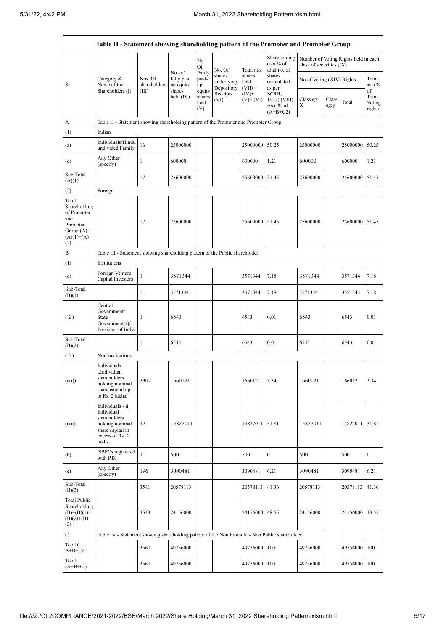|                                                                                                | Table II - Statement showing shareholding pattern of the Promoter and Promoter Group                                |                                                                              |                                             |                                 |                                    |                             |                                                  |                           |               |                                      |                           |
|------------------------------------------------------------------------------------------------|---------------------------------------------------------------------------------------------------------------------|------------------------------------------------------------------------------|---------------------------------------------|---------------------------------|------------------------------------|-----------------------------|--------------------------------------------------|---------------------------|---------------|--------------------------------------|---------------------------|
|                                                                                                |                                                                                                                     |                                                                              |                                             | No.<br>Of                       | No. Of                             | Total nos.                  | Shareholding<br>as a % of<br>total no. of        | class of securities (IX)  |               | Number of Voting Rights held in each |                           |
| Sr.                                                                                            | Category $\&$<br>Name of the<br>Shareholders (I)                                                                    | Nos. Of<br>shareholders<br>(III)                                             | No. of<br>fully paid<br>up equity<br>shares | Partly<br>paid-<br>up<br>equity | shares<br>underlying<br>Depository | shares<br>held<br>$(VII) =$ | shares<br>(calculated<br>as per                  | No of Voting (XIV) Rights |               |                                      | Total<br>as a %<br>of     |
|                                                                                                |                                                                                                                     |                                                                              | held $(IV)$                                 | shares<br>held<br>(V)           | Receipts<br>(VI)                   | $(IV)+$<br>$(V)$ + $(VI)$   | SCRR,<br>1957) (VIII)<br>As a % of<br>$(A+B+C2)$ | Class eg:<br>Χ            | Class<br>eg:y | Total                                | Total<br>Voting<br>rights |
| A                                                                                              | Table II - Statement showing shareholding pattern of the Promoter and Promoter Group                                |                                                                              |                                             |                                 |                                    |                             |                                                  |                           |               |                                      |                           |
| (1)                                                                                            | Indian                                                                                                              |                                                                              |                                             |                                 |                                    |                             |                                                  |                           |               |                                      |                           |
| (a)                                                                                            | Individuals/Hindu<br>undivided Family                                                                               | 16                                                                           | 25000000                                    |                                 |                                    | 25000000                    | 50.25                                            | 25000000                  |               | 25000000                             | 50.25                     |
| (d)                                                                                            | Any Other<br>(specify)                                                                                              | $\mathbf{1}$                                                                 | 600000                                      |                                 |                                    | 600000                      | 1.21                                             | 600000                    |               | 600000                               | 1.21                      |
| Sub-Total<br>(A)(1)                                                                            |                                                                                                                     | 17                                                                           | 25600000                                    |                                 |                                    | 25600000                    | 51.45                                            | 25600000                  |               | 25600000                             | 51.45                     |
| (2)                                                                                            | Foreign                                                                                                             |                                                                              |                                             |                                 |                                    |                             |                                                  |                           |               |                                      |                           |
| Total<br>Shareholding<br>of Promoter<br>and<br>Promoter<br>Group $(A)=$<br>$(A)(1)+(A)$<br>(2) |                                                                                                                     | 17                                                                           | 25600000                                    |                                 |                                    | 25600000                    | 51.45                                            | 25600000                  |               | 25600000                             | 51.45                     |
| B                                                                                              |                                                                                                                     | Table III - Statement showing shareholding pattern of the Public shareholder |                                             |                                 |                                    |                             |                                                  |                           |               |                                      |                           |
| (1)                                                                                            | Institutions                                                                                                        |                                                                              |                                             |                                 |                                    |                             |                                                  |                           |               |                                      |                           |
| (d)                                                                                            | Foreign Venture<br>Capital Investors                                                                                | $\mathbf{1}$                                                                 | 3571344                                     |                                 |                                    | 3571344                     | 7.18                                             | 3571344                   |               | 3571344                              | 7.18                      |
| Sub-Total<br>(B)(1)                                                                            |                                                                                                                     | 1                                                                            | 3571344                                     |                                 |                                    | 3571344                     | 7.18                                             | 3571344                   |               | 3571344                              | 7.18                      |
| (2)                                                                                            | Central<br>Government/<br>State<br>Government(s)<br>President of India                                              | 1                                                                            | 6543                                        |                                 |                                    | 6543                        | 0.01                                             | 6543                      |               | 6543                                 | 0.01                      |
| Sub-Total<br>(B)(2)                                                                            |                                                                                                                     | 1                                                                            | 6543                                        |                                 |                                    | 6543                        | 0.01                                             | 6543                      |               | 6543                                 | 0.01                      |
| (3)                                                                                            | Non-institutions                                                                                                    |                                                                              |                                             |                                 |                                    |                             |                                                  |                           |               |                                      |                           |
| (a(i))                                                                                         | Individuals -<br>i.Individual<br>shareholders<br>holding nominal<br>share capital up<br>to Rs. 2 lakhs.             | 3302                                                                         | 1660121                                     |                                 |                                    | 1660121                     | 3.34                                             | 1660121                   |               | 1660121                              | 3.34                      |
| (a(ii))                                                                                        | Individuals - ii.<br>Individual<br>shareholders<br>holding nominal<br>share capital in<br>excess of Rs. 2<br>lakhs. | 42                                                                           | 15827011                                    |                                 |                                    | 15827011 31.81              |                                                  | 15827011                  |               | 15827011                             | 31.81                     |
| (b)                                                                                            | NBFCs registered<br>with RBI                                                                                        | $\mathbf{1}$                                                                 | 500                                         |                                 |                                    | 500                         | $\boldsymbol{0}$                                 | 500                       |               | 500                                  | $\boldsymbol{0}$          |
| (e)                                                                                            | Any Other<br>(specify)                                                                                              | 196                                                                          | 3090481                                     |                                 |                                    | 3090481                     | 6.21                                             | 3090481                   |               | 3090481                              | 6.21                      |
| Sub-Total<br>(B)(3)                                                                            |                                                                                                                     | 3541                                                                         | 20578113                                    |                                 |                                    | 20578113                    | 41.36                                            | 20578113                  |               | 20578113                             | 41.36                     |
| <b>Total Public</b><br>Shareholding<br>$(B)=(B)(1)+$<br>$(B)(2)+(B)$<br>(3)                    |                                                                                                                     | 3543                                                                         | 24156000                                    |                                 |                                    | 24156000                    | 48.55                                            | 24156000                  |               | 24156000                             | 48.55                     |
| C                                                                                              | Table IV - Statement showing shareholding pattern of the Non Promoter- Non Public shareholder                       |                                                                              |                                             |                                 |                                    |                             |                                                  |                           |               |                                      |                           |
| Total (<br>$A+B+C2$ )                                                                          |                                                                                                                     | 3560                                                                         | 49756000                                    |                                 |                                    | 49756000                    | 100                                              | 49756000                  |               | 49756000                             | 100                       |
| Total<br>$(A+B+C)$                                                                             |                                                                                                                     | 3560                                                                         | 49756000                                    |                                 |                                    | 49756000                    | 100                                              | 49756000                  |               | 49756000                             | 100                       |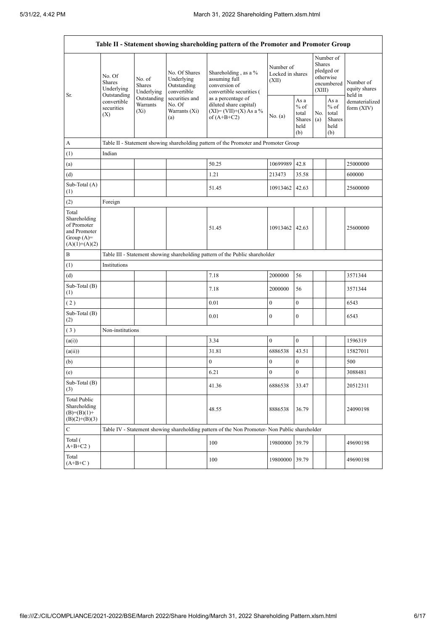|                                                                                         |                                                                                          |                                       |                                                                                                               | Table II - Statement showing shareholding pattern of the Promoter and Promoter Group          |                                        |                                                         |                                                                        |                                                         |                                           |
|-----------------------------------------------------------------------------------------|------------------------------------------------------------------------------------------|---------------------------------------|---------------------------------------------------------------------------------------------------------------|-----------------------------------------------------------------------------------------------|----------------------------------------|---------------------------------------------------------|------------------------------------------------------------------------|---------------------------------------------------------|-------------------------------------------|
|                                                                                         | No. Of<br><b>Shares</b><br>Underlying<br>Outstanding<br>convertible<br>securities<br>(X) | No. of<br><b>Shares</b><br>Underlying | No. Of Shares<br>Underlying<br>Outstanding<br>convertible<br>securities and<br>No. Of<br>Warrants (Xi)<br>(a) | Shareholding, as a %<br>assuming full<br>conversion of<br>convertible securities (            | Number of<br>Locked in shares<br>(XII) |                                                         | Number of<br>Shares<br>pledged or<br>otherwise<br>encumbered<br>(XIII) |                                                         | Number of<br>equity shares                |
| Sr.                                                                                     |                                                                                          | Outstanding<br>Warrants<br>$(X_i)$    |                                                                                                               | as a percentage of<br>diluted share capital)<br>$(XI) = (VII)+(X) As a %$<br>of $(A+B+C2)$    | No. (a)                                | As a<br>$%$ of<br>total<br><b>Shares</b><br>held<br>(b) | No.<br>(a)                                                             | As a<br>$%$ of<br>total<br><b>Shares</b><br>held<br>(b) | held in<br>dematerialized<br>form $(XIV)$ |
| А                                                                                       |                                                                                          |                                       |                                                                                                               | Table II - Statement showing shareholding pattern of the Promoter and Promoter Group          |                                        |                                                         |                                                                        |                                                         |                                           |
| (1)                                                                                     | Indian                                                                                   |                                       |                                                                                                               |                                                                                               |                                        |                                                         |                                                                        |                                                         |                                           |
| (a)                                                                                     |                                                                                          |                                       |                                                                                                               | 50.25                                                                                         | 10699989                               | 42.8                                                    |                                                                        |                                                         | 25000000                                  |
| (d)                                                                                     |                                                                                          |                                       |                                                                                                               | 1.21                                                                                          | 213473                                 | 35.58                                                   |                                                                        |                                                         | 600000                                    |
| Sub-Total (A)<br>(1)                                                                    |                                                                                          |                                       |                                                                                                               | 51.45                                                                                         | 10913462                               | 42.63                                                   |                                                                        |                                                         | 25600000                                  |
| (2)                                                                                     | Foreign                                                                                  |                                       |                                                                                                               |                                                                                               |                                        |                                                         |                                                                        |                                                         |                                           |
| Total<br>Shareholding<br>of Promoter<br>and Promoter<br>Group $(A)=$<br>$(A)(1)+(A)(2)$ |                                                                                          |                                       |                                                                                                               | 51.45                                                                                         | 10913462                               | 42.63                                                   |                                                                        |                                                         | 25600000                                  |
| B                                                                                       |                                                                                          |                                       |                                                                                                               | Table III - Statement showing shareholding pattern of the Public shareholder                  |                                        |                                                         |                                                                        |                                                         |                                           |
| (1)                                                                                     | Institutions                                                                             |                                       |                                                                                                               |                                                                                               |                                        |                                                         |                                                                        |                                                         |                                           |
| (d)                                                                                     |                                                                                          |                                       |                                                                                                               | 7.18                                                                                          | 2000000                                | 56                                                      |                                                                        |                                                         | 3571344                                   |
| Sub-Total (B)<br>(1)                                                                    |                                                                                          |                                       |                                                                                                               | 7.18                                                                                          | 2000000                                | 56                                                      |                                                                        |                                                         | 3571344                                   |
| (2)                                                                                     |                                                                                          |                                       |                                                                                                               | 0.01                                                                                          | $\boldsymbol{0}$                       | $\mathbf{0}$                                            |                                                                        |                                                         | 6543                                      |
| Sub-Total (B)<br>(2)                                                                    |                                                                                          |                                       |                                                                                                               | 0.01                                                                                          | $\mathbf{0}$                           | $\mathbf{0}$                                            |                                                                        |                                                         | 6543                                      |
| (3)                                                                                     | Non-institutions                                                                         |                                       |                                                                                                               |                                                                                               |                                        |                                                         |                                                                        |                                                         |                                           |
| (a(i))                                                                                  |                                                                                          |                                       |                                                                                                               | 3.34                                                                                          | $\boldsymbol{0}$                       | $\boldsymbol{0}$                                        |                                                                        |                                                         | 1596319                                   |
| (a(ii))                                                                                 |                                                                                          |                                       |                                                                                                               | 31.81                                                                                         | 6886538                                | 43.51                                                   |                                                                        |                                                         | 15827011                                  |
| (b)                                                                                     |                                                                                          |                                       |                                                                                                               | $\boldsymbol{0}$                                                                              | $\boldsymbol{0}$                       | $\boldsymbol{0}$                                        |                                                                        |                                                         | 500                                       |
| (e)                                                                                     |                                                                                          |                                       |                                                                                                               | 6.21                                                                                          | $\boldsymbol{0}$                       | $\boldsymbol{0}$                                        |                                                                        |                                                         | 3088481                                   |
| Sub-Total (B)<br>(3)                                                                    |                                                                                          |                                       |                                                                                                               | 41.36                                                                                         | 6886538                                | 33.47                                                   |                                                                        |                                                         | 20512311                                  |
| Total Public<br>Shareholding<br>$(B)=(B)(1)+$<br>$(B)(2)+(B)(3)$                        |                                                                                          |                                       |                                                                                                               | 48.55                                                                                         | 8886538                                | 36.79                                                   |                                                                        |                                                         | 24090198                                  |
| С                                                                                       |                                                                                          |                                       |                                                                                                               | Table IV - Statement showing shareholding pattern of the Non Promoter- Non Public shareholder |                                        |                                                         |                                                                        |                                                         |                                           |
| Total (<br>$A+B+C2$ )                                                                   |                                                                                          |                                       |                                                                                                               | 100                                                                                           | 19800000                               | 39.79                                                   |                                                                        |                                                         | 49690198                                  |
| Total<br>$(A+B+C)$                                                                      |                                                                                          |                                       |                                                                                                               | 100                                                                                           | 19800000 39.79                         |                                                         |                                                                        |                                                         | 49690198                                  |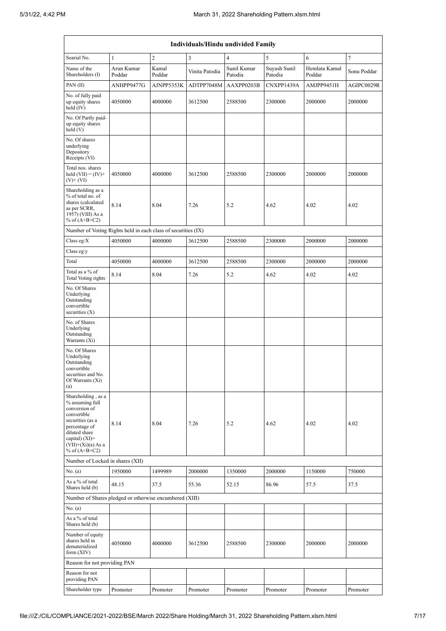|                                                                                                                                                                                             |                      |                 |                         | Individuals/Hindu undivided Family |                         |                         |             |
|---------------------------------------------------------------------------------------------------------------------------------------------------------------------------------------------|----------------------|-----------------|-------------------------|------------------------------------|-------------------------|-------------------------|-------------|
| Searial No.                                                                                                                                                                                 | $\mathbf{1}$         | $\overline{c}$  | $\overline{\mathbf{3}}$ | $\overline{\mathcal{L}}$           | 5                       | 6                       | $\tau$      |
| Name of the<br>Shareholders (I)                                                                                                                                                             | Arun Kumar<br>Poddar | Kamal<br>Poddar | Vinita Patodia          | Sunil Kumar<br>Patodia             | Suyash Sunil<br>Patodia | Hemlata Kamal<br>Poddar | Sonu Poddar |
| PAN $(II)$                                                                                                                                                                                  | ANHPP9477G           | AJNPP5353K      | ADTPP7048M              | AAXPP0203B                         | CNXPP1439A              | AMJPP9451H              | AGIPC0029R  |
| No. of fully paid<br>up equity shares<br>held $(IV)$                                                                                                                                        | 4050000              | 4000000         | 3612500                 | 2588500                            | 2300000                 | 2000000                 | 2000000     |
| No. Of Partly paid-<br>up equity shares<br>held(V)                                                                                                                                          |                      |                 |                         |                                    |                         |                         |             |
| No. Of shares<br>underlying<br>Depository<br>Receipts (VI)                                                                                                                                  |                      |                 |                         |                                    |                         |                         |             |
| Total nos. shares<br>held $(VII) = (IV) +$<br>$(V)$ + $(VI)$                                                                                                                                | 4050000              | 4000000         | 3612500                 | 2588500                            | 2300000                 | 2000000                 | 2000000     |
| Shareholding as a<br>% of total no. of<br>shares (calculated<br>as per SCRR,<br>1957) (VIII) As a<br>% of $(A+B+C2)$                                                                        | 8.14                 | 8.04            | 7.26                    | 5.2                                | 4.62                    | 4.02                    | 4.02        |
| Number of Voting Rights held in each class of securities (IX)                                                                                                                               |                      |                 |                         |                                    |                         |                         |             |
| Class eg: $X$                                                                                                                                                                               | 4050000              | 4000000         | 3612500                 | 2588500                            | 2300000                 | 2000000                 | 2000000     |
| Class eg:y                                                                                                                                                                                  |                      |                 |                         |                                    |                         |                         |             |
| Total                                                                                                                                                                                       | 4050000              | 4000000         | 3612500                 | 2588500                            | 2300000                 | 2000000                 | 2000000     |
| Total as a % of<br>Total Voting rights                                                                                                                                                      | 8.14                 | 8.04            | 7.26                    | 5.2                                | 4.62                    | 4.02                    | 4.02        |
| No. Of Shares<br>Underlying<br>Outstanding<br>convertible<br>securities $(X)$                                                                                                               |                      |                 |                         |                                    |                         |                         |             |
| No. of Shares<br>Underlying<br>Outstanding<br>Warrants (Xi)                                                                                                                                 |                      |                 |                         |                                    |                         |                         |             |
| No. Of Shares<br>Underlying<br>Outstanding<br>convertible<br>securities and No.<br>Of Warrants (Xi)<br>(a)                                                                                  |                      |                 |                         |                                    |                         |                         |             |
| Shareholding, as a<br>% assuming full<br>conversion of<br>convertible<br>securities (as a<br>percentage of<br>diluted share<br>capital) $(XI)$ =<br>$(VII)+(Xi)(a) As a$<br>% of $(A+B+C2)$ | 8.14                 | 8.04            | 7.26                    | 5.2                                | 4.62                    | 4.02                    | 4.02        |
| Number of Locked in shares (XII)                                                                                                                                                            |                      |                 |                         |                                    |                         |                         |             |
| No. (a)                                                                                                                                                                                     | 1950000              | 1499989         | 2000000                 | 1350000                            | 2000000                 | 1150000                 | 750000      |
| As a % of total<br>Shares held (b)                                                                                                                                                          | 48.15                | 37.5            | 55.36                   | 52.15                              | 86.96                   | 57.5                    | 37.5        |
| Number of Shares pledged or otherwise encumbered (XIII)                                                                                                                                     |                      |                 |                         |                                    |                         |                         |             |
| No. (a)<br>As a % of total<br>Shares held (b)                                                                                                                                               |                      |                 |                         |                                    |                         |                         |             |
| Number of equity<br>shares held in<br>dematerialized<br>form $(XIV)$                                                                                                                        | 4050000              | 4000000         | 3612500                 | 2588500                            | 2300000                 | 2000000                 | 2000000     |
| Reason for not providing PAN                                                                                                                                                                |                      |                 |                         |                                    |                         |                         |             |
| Reason for not<br>providing PAN                                                                                                                                                             |                      |                 |                         |                                    |                         |                         |             |
| Shareholder type                                                                                                                                                                            | Promoter             | Promoter        | Promoter                | Promoter                           | Promoter                | Promoter                | Promoter    |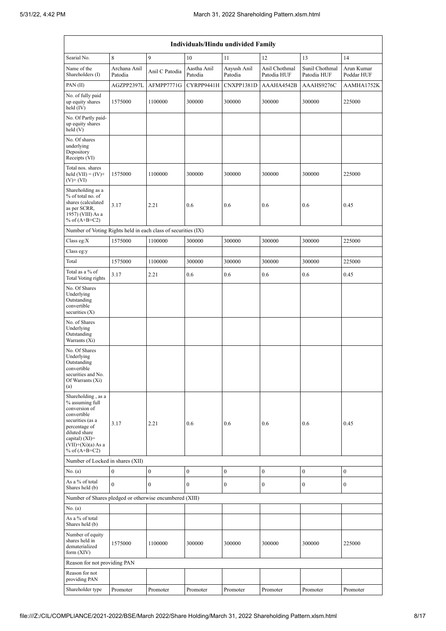|                                                                                                                                                                                          | Individuals/Hindu undivided Family |                |                        |                        |                              |                               |                          |  |  |
|------------------------------------------------------------------------------------------------------------------------------------------------------------------------------------------|------------------------------------|----------------|------------------------|------------------------|------------------------------|-------------------------------|--------------------------|--|--|
| Searial No.                                                                                                                                                                              | 8                                  | 9              | 10                     | 11                     | 12                           | 13                            | 14                       |  |  |
| Name of the<br>Shareholders (I)                                                                                                                                                          | Archana Anil<br>Patodia            | Anil C Patodia | Aastha Anil<br>Patodia | Aayush Anil<br>Patodia | Anil Chothmal<br>Patodia HUF | Sunil Chothmal<br>Patodia HUF | Arun Kumar<br>Poddar HUF |  |  |
| PAN(II)                                                                                                                                                                                  | AGZPP2397L                         | AFMPP7771G     | CYRPP9441H             | CNXPP1381D             | AAAHA4542B                   | AAAHS9276C                    | AAMHA1752K               |  |  |
| No. of fully paid<br>up equity shares<br>held (IV)                                                                                                                                       | 1575000                            | 1100000        | 300000                 | 300000                 | 300000                       | 300000                        | 225000                   |  |  |
| No. Of Partly paid-<br>up equity shares<br>held(V)                                                                                                                                       |                                    |                |                        |                        |                              |                               |                          |  |  |
| No. Of shares<br>underlying<br>Depository<br>Receipts (VI)                                                                                                                               |                                    |                |                        |                        |                              |                               |                          |  |  |
| Total nos. shares<br>held $(VII) = (IV) +$<br>$(V)$ + $(VI)$                                                                                                                             | 1575000                            | 1100000        | 300000                 | 300000                 | 300000                       | 300000                        | 225000                   |  |  |
| Shareholding as a<br>% of total no. of<br>shares (calculated<br>as per SCRR,<br>1957) (VIII) As a<br>% of $(A+B+C2)$                                                                     | 3.17                               | 2.21           | 0.6                    | 0.6                    | 0.6                          | 0.6                           | 0.45                     |  |  |
| Number of Voting Rights held in each class of securities (IX)                                                                                                                            |                                    |                |                        |                        |                              |                               |                          |  |  |
| Class eg: $X$                                                                                                                                                                            | 1575000                            | 1100000        | 300000                 | 300000                 | 300000                       | 300000                        | 225000                   |  |  |
| Class eg:y                                                                                                                                                                               |                                    |                |                        |                        |                              |                               |                          |  |  |
| Total                                                                                                                                                                                    | 1575000                            | 1100000        | 300000                 | 300000                 | 300000                       | 300000                        | 225000                   |  |  |
| Total as a % of<br>Total Voting rights                                                                                                                                                   | 3.17                               | 2.21           | 0.6                    | 0.6                    | 0.6                          | 0.6                           | 0.45                     |  |  |
| No. Of Shares<br>Underlying<br>Outstanding<br>convertible<br>securities $(X)$                                                                                                            |                                    |                |                        |                        |                              |                               |                          |  |  |
| No. of Shares<br>Underlying<br>Outstanding<br>Warrants (Xi)                                                                                                                              |                                    |                |                        |                        |                              |                               |                          |  |  |
| No. Of Shares<br>Underlying<br>Outstanding<br>convertible<br>securities and No.<br>Of Warrants (Xi)<br>(a)                                                                               |                                    |                |                        |                        |                              |                               |                          |  |  |
| Shareholding, as a<br>% assuming full<br>conversion of<br>convertible<br>securities (as a<br>percentage of<br>diluted share<br>capital) (XI)=<br>$(VII)+(Xi)(a) As a$<br>% of $(A+B+C2)$ | 3.17                               | 2.21           | 0.6                    | 0.6                    | 0.6                          | 0.6                           | 0.45                     |  |  |
| Number of Locked in shares (XII)                                                                                                                                                         |                                    |                |                        |                        |                              |                               |                          |  |  |
| No. (a)                                                                                                                                                                                  | $\boldsymbol{0}$                   | 0              | $\boldsymbol{0}$       | $\boldsymbol{0}$       | $\boldsymbol{0}$             | 0                             | $\boldsymbol{0}$         |  |  |
| As a % of total<br>Shares held (b)                                                                                                                                                       | $\mathbf{0}$                       | $\mathbf{0}$   | $\boldsymbol{0}$       | $\boldsymbol{0}$       | $\boldsymbol{0}$             | 0                             | $\boldsymbol{0}$         |  |  |
| Number of Shares pledged or otherwise encumbered (XIII)                                                                                                                                  |                                    |                |                        |                        |                              |                               |                          |  |  |
| No. (a)<br>As a % of total<br>Shares held (b)                                                                                                                                            |                                    |                |                        |                        |                              |                               |                          |  |  |
| Number of equity<br>shares held in<br>dematerialized<br>form $(XIV)$                                                                                                                     | 1575000                            | 1100000        | 300000                 | 300000                 | 300000                       | 300000                        | 225000                   |  |  |
| Reason for not providing PAN                                                                                                                                                             |                                    |                |                        |                        |                              |                               |                          |  |  |
| Reason for not<br>providing PAN                                                                                                                                                          |                                    |                |                        |                        |                              |                               |                          |  |  |
| Shareholder type                                                                                                                                                                         | Promoter                           | Promoter       | Promoter               | Promoter               | Promoter                     | Promoter                      | Promoter                 |  |  |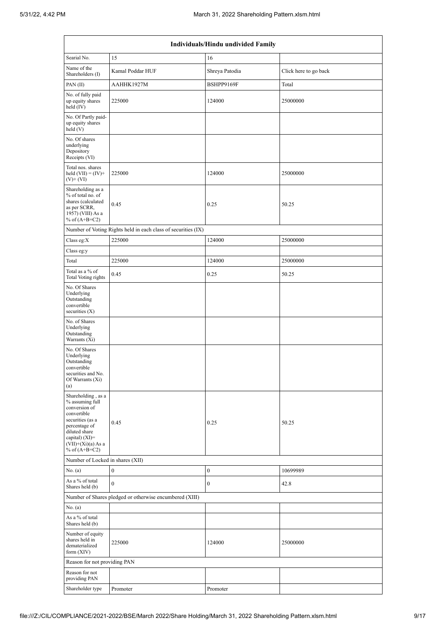|                                                                                                                                                                                             | Individuals/Hindu undivided Family                            |                  |                       |  |  |  |  |  |  |
|---------------------------------------------------------------------------------------------------------------------------------------------------------------------------------------------|---------------------------------------------------------------|------------------|-----------------------|--|--|--|--|--|--|
| Searial No.                                                                                                                                                                                 | 15                                                            | 16               |                       |  |  |  |  |  |  |
| Name of the<br>Shareholders (I)                                                                                                                                                             | Kamal Poddar HUF                                              | Shreya Patodia   | Click here to go back |  |  |  |  |  |  |
| PAN(II)                                                                                                                                                                                     | AAHHK1927M                                                    | BSHPP9169F       | Total                 |  |  |  |  |  |  |
| No. of fully paid<br>up equity shares<br>held $(IV)$                                                                                                                                        | 225000                                                        | 124000           | 25000000              |  |  |  |  |  |  |
| No. Of Partly paid-<br>up equity shares<br>held(V)                                                                                                                                          |                                                               |                  |                       |  |  |  |  |  |  |
| No. Of shares<br>underlying<br>Depository<br>Receipts (VI)                                                                                                                                  |                                                               |                  |                       |  |  |  |  |  |  |
| Total nos. shares<br>held $(VII) = (IV) +$<br>$(V)$ + $(VI)$                                                                                                                                | 225000                                                        | 124000           | 25000000              |  |  |  |  |  |  |
| Shareholding as a<br>% of total no. of<br>shares (calculated<br>as per SCRR,<br>1957) (VIII) As a<br>% of $(A+B+C2)$                                                                        | 0.45                                                          | 0.25             | 50.25                 |  |  |  |  |  |  |
|                                                                                                                                                                                             | Number of Voting Rights held in each class of securities (IX) |                  |                       |  |  |  |  |  |  |
| Class eg: $X$                                                                                                                                                                               | 225000                                                        | 124000           | 25000000              |  |  |  |  |  |  |
| Class eg:y                                                                                                                                                                                  |                                                               |                  |                       |  |  |  |  |  |  |
| Total                                                                                                                                                                                       | 225000                                                        | 124000           | 25000000              |  |  |  |  |  |  |
| Total as a % of<br>Total Voting rights                                                                                                                                                      | 0.45                                                          | 0.25             | 50.25                 |  |  |  |  |  |  |
| No. Of Shares<br>Underlying<br>Outstanding<br>convertible<br>securities $(X)$                                                                                                               |                                                               |                  |                       |  |  |  |  |  |  |
| No. of Shares<br>Underlying<br>Outstanding<br>Warrants (Xi)                                                                                                                                 |                                                               |                  |                       |  |  |  |  |  |  |
| No. Of Shares<br>Underlying<br>Outstanding<br>convertible<br>securities and No.<br>Of Warrants (Xi)<br>(a)                                                                                  |                                                               |                  |                       |  |  |  |  |  |  |
| Shareholding, as a<br>% assuming full<br>conversion of<br>convertible<br>securities (as a<br>percentage of<br>diluted share<br>capital) $(XI)$ =<br>$(VII)+(Xi)(a)$ As a<br>% of $(A+B+C2)$ | 0.45                                                          | 0.25             | 50.25                 |  |  |  |  |  |  |
| Number of Locked in shares (XII)                                                                                                                                                            |                                                               |                  |                       |  |  |  |  |  |  |
| No. (a)                                                                                                                                                                                     | $\boldsymbol{0}$                                              | $\boldsymbol{0}$ | 10699989              |  |  |  |  |  |  |
| As a % of total<br>Shares held (b)                                                                                                                                                          | $\mathbf{0}$                                                  | $\mathbf{0}$     | 42.8                  |  |  |  |  |  |  |
|                                                                                                                                                                                             | Number of Shares pledged or otherwise encumbered (XIII)       |                  |                       |  |  |  |  |  |  |
| No. (a)<br>As a % of total<br>Shares held (b)                                                                                                                                               |                                                               |                  |                       |  |  |  |  |  |  |
| Number of equity<br>shares held in<br>dematerialized<br>form $(XIV)$                                                                                                                        | 225000                                                        | 124000           | 25000000              |  |  |  |  |  |  |
| Reason for not providing PAN                                                                                                                                                                |                                                               |                  |                       |  |  |  |  |  |  |
| Reason for not<br>providing PAN                                                                                                                                                             |                                                               |                  |                       |  |  |  |  |  |  |
| Shareholder type                                                                                                                                                                            | Promoter                                                      | Promoter         |                       |  |  |  |  |  |  |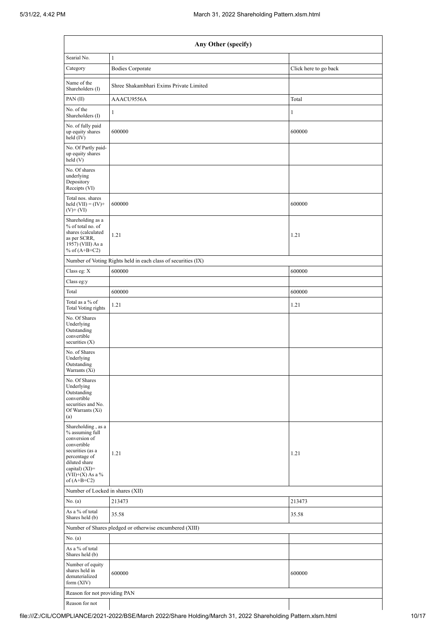|                                                                                                                                                                                      | Any Other (specify)                                           |                       |  |  |  |  |  |  |
|--------------------------------------------------------------------------------------------------------------------------------------------------------------------------------------|---------------------------------------------------------------|-----------------------|--|--|--|--|--|--|
| Searial No.                                                                                                                                                                          | $\mathbf{1}$                                                  |                       |  |  |  |  |  |  |
| Category                                                                                                                                                                             | <b>Bodies Corporate</b>                                       | Click here to go back |  |  |  |  |  |  |
| Name of the<br>Shareholders (I)                                                                                                                                                      | Shree Shakambhari Exims Private Limited                       |                       |  |  |  |  |  |  |
| PAN $(II)$                                                                                                                                                                           | AAACU9556A                                                    | Total                 |  |  |  |  |  |  |
| No. of the<br>Shareholders (I)                                                                                                                                                       | $\mathbf{1}$                                                  | 1                     |  |  |  |  |  |  |
| No. of fully paid<br>up equity shares<br>held $(IV)$                                                                                                                                 | 600000                                                        | 600000                |  |  |  |  |  |  |
| No. Of Partly paid-<br>up equity shares<br>held(V)                                                                                                                                   |                                                               |                       |  |  |  |  |  |  |
| No. Of shares<br>underlying<br>Depository<br>Receipts (VI)                                                                                                                           |                                                               |                       |  |  |  |  |  |  |
| Total nos. shares<br>held $(VII) = (IV) +$<br>$(V)$ + $(VI)$                                                                                                                         | 600000                                                        | 600000                |  |  |  |  |  |  |
| Shareholding as a<br>% of total no. of<br>shares (calculated<br>as per SCRR,<br>1957) (VIII) As a<br>% of $(A+B+C2)$                                                                 | 1.21                                                          | 1.21                  |  |  |  |  |  |  |
|                                                                                                                                                                                      | Number of Voting Rights held in each class of securities (IX) |                       |  |  |  |  |  |  |
| Class eg: X                                                                                                                                                                          | 600000                                                        | 600000                |  |  |  |  |  |  |
| Class eg:y                                                                                                                                                                           |                                                               |                       |  |  |  |  |  |  |
| Total                                                                                                                                                                                | 600000                                                        | 600000                |  |  |  |  |  |  |
| Total as a % of<br><b>Total Voting rights</b>                                                                                                                                        | 1.21                                                          | 1.21                  |  |  |  |  |  |  |
| No. Of Shares<br>Underlying<br>Outstanding<br>convertible<br>securities $(X)$                                                                                                        |                                                               |                       |  |  |  |  |  |  |
| No. of Shares<br>Underlying<br>Outstanding<br>Warrants (Xi)                                                                                                                          |                                                               |                       |  |  |  |  |  |  |
| No. Of Shares<br>Underlying<br>Outstanding<br>convertible<br>securities and No.<br>Of Warrants (Xi)<br>(a)                                                                           |                                                               |                       |  |  |  |  |  |  |
| Shareholding, as a<br>% assuming full<br>conversion of<br>convertible<br>securities (as a<br>percentage of<br>diluted share<br>capital) (XI)=<br>$(VII)+(X)$ As a %<br>of $(A+B+C2)$ | 1.21                                                          | 1.21                  |  |  |  |  |  |  |
| Number of Locked in shares (XII)                                                                                                                                                     |                                                               |                       |  |  |  |  |  |  |
| No. (a)                                                                                                                                                                              | 213473                                                        | 213473                |  |  |  |  |  |  |
| As a % of total<br>Shares held (b)                                                                                                                                                   | 35.58                                                         | 35.58                 |  |  |  |  |  |  |
|                                                                                                                                                                                      | Number of Shares pledged or otherwise encumbered (XIII)       |                       |  |  |  |  |  |  |
| No. (a)                                                                                                                                                                              |                                                               |                       |  |  |  |  |  |  |
| As a % of total<br>Shares held (b)                                                                                                                                                   |                                                               |                       |  |  |  |  |  |  |
| Number of equity<br>shares held in<br>dematerialized<br>form $(XIV)$                                                                                                                 | 600000                                                        | 600000                |  |  |  |  |  |  |
| Reason for not providing PAN                                                                                                                                                         |                                                               |                       |  |  |  |  |  |  |
| Reason for not                                                                                                                                                                       |                                                               |                       |  |  |  |  |  |  |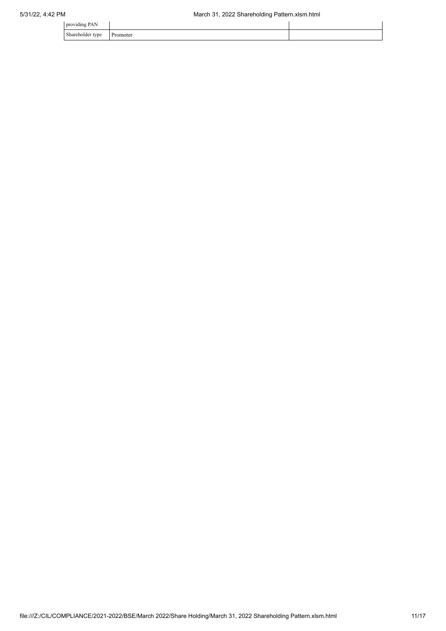| .<br>.<br>$\mathbf{r}$<br>providing PAN |                      |  |
|-----------------------------------------|----------------------|--|
| $\sim$<br>Shareholder type<br>$\sim$ 1  | Promoter<br>-------- |  |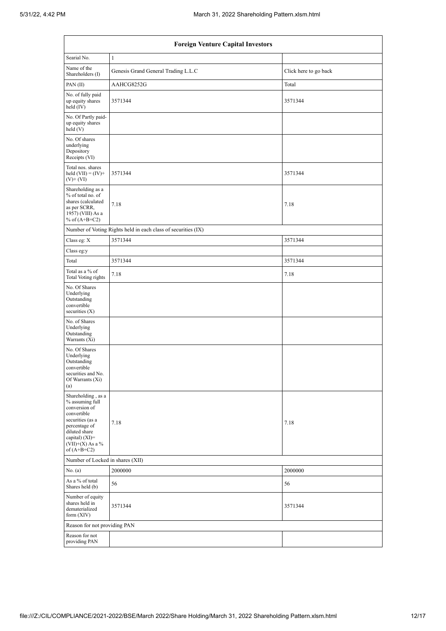| <b>Foreign Venture Capital Investors</b>                                                                                                                                             |                                                               |                       |  |  |  |  |  |  |  |  |
|--------------------------------------------------------------------------------------------------------------------------------------------------------------------------------------|---------------------------------------------------------------|-----------------------|--|--|--|--|--|--|--|--|
| Searial No.<br>$\mathbf{1}$                                                                                                                                                          |                                                               |                       |  |  |  |  |  |  |  |  |
| Name of the<br>Shareholders (I)                                                                                                                                                      | Genesis Grand General Trading L.L.C                           | Click here to go back |  |  |  |  |  |  |  |  |
| PAN(II)                                                                                                                                                                              | AAHCG8252G                                                    | Total                 |  |  |  |  |  |  |  |  |
| No. of fully paid<br>up equity shares<br>held (IV)                                                                                                                                   | 3571344                                                       | 3571344               |  |  |  |  |  |  |  |  |
| No. Of Partly paid-<br>up equity shares<br>held(V)                                                                                                                                   |                                                               |                       |  |  |  |  |  |  |  |  |
| No. Of shares<br>underlying<br>Depository<br>Receipts (VI)                                                                                                                           |                                                               |                       |  |  |  |  |  |  |  |  |
| Total nos. shares<br>held $(VII) = (IV) +$<br>$(V)$ + $(VI)$                                                                                                                         | 3571344                                                       | 3571344               |  |  |  |  |  |  |  |  |
| Shareholding as a<br>% of total no. of<br>shares (calculated<br>as per SCRR,<br>1957) (VIII) As a<br>% of $(A+B+C2)$                                                                 | 7.18                                                          | 7.18                  |  |  |  |  |  |  |  |  |
|                                                                                                                                                                                      | Number of Voting Rights held in each class of securities (IX) |                       |  |  |  |  |  |  |  |  |
| Class eg: X                                                                                                                                                                          | 3571344                                                       | 3571344               |  |  |  |  |  |  |  |  |
| Class eg:y                                                                                                                                                                           |                                                               |                       |  |  |  |  |  |  |  |  |
| Total                                                                                                                                                                                | 3571344                                                       | 3571344               |  |  |  |  |  |  |  |  |
| Total as a % of<br>Total Voting rights                                                                                                                                               | 7.18                                                          | 7.18                  |  |  |  |  |  |  |  |  |
| No. Of Shares<br>Underlying<br>Outstanding<br>convertible<br>securities $(X)$                                                                                                        |                                                               |                       |  |  |  |  |  |  |  |  |
| No. of Shares<br>Underlying<br>Outstanding<br>Warrants (Xi)                                                                                                                          |                                                               |                       |  |  |  |  |  |  |  |  |
| No. Of Shares<br>Underlying<br>Outstanding<br>convertible<br>securities and No.<br>Of Warrants (Xi)<br>(a)                                                                           |                                                               |                       |  |  |  |  |  |  |  |  |
| Shareholding, as a<br>% assuming full<br>conversion of<br>convertible<br>securities (as a<br>percentage of<br>diluted share<br>capital) (XI)=<br>$(VII)+(X)$ As a %<br>of $(A+B+C2)$ | 7.18                                                          | 7.18                  |  |  |  |  |  |  |  |  |
| Number of Locked in shares (XII)                                                                                                                                                     |                                                               |                       |  |  |  |  |  |  |  |  |
| No. (a)                                                                                                                                                                              | 2000000                                                       | 2000000               |  |  |  |  |  |  |  |  |
| As a % of total<br>Shares held (b)                                                                                                                                                   | 56                                                            | 56                    |  |  |  |  |  |  |  |  |
| Number of equity<br>shares held in<br>dematerialized<br>form $(XIV)$                                                                                                                 | 3571344                                                       | 3571344               |  |  |  |  |  |  |  |  |
| Reason for not providing PAN                                                                                                                                                         |                                                               |                       |  |  |  |  |  |  |  |  |
| Reason for not<br>providing PAN                                                                                                                                                      |                                                               |                       |  |  |  |  |  |  |  |  |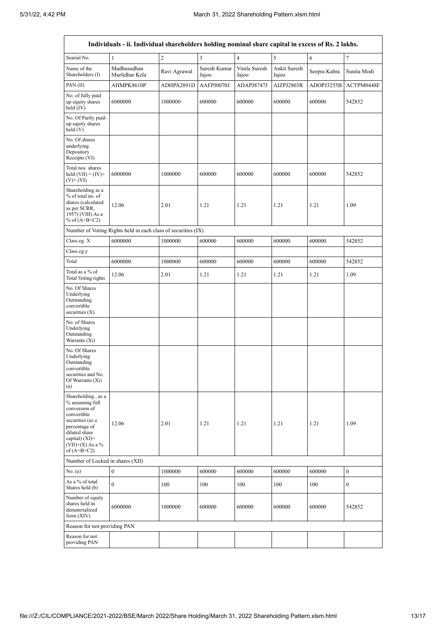'n

| Individuals - ii. Individual shareholders holding nominal share capital in excess of Rs. 2 lakhs.                                                                                      |                                                               |                |                       |                       |                       |              |                  |  |  |  |
|----------------------------------------------------------------------------------------------------------------------------------------------------------------------------------------|---------------------------------------------------------------|----------------|-----------------------|-----------------------|-----------------------|--------------|------------------|--|--|--|
| Searial No.                                                                                                                                                                            | $\mathbf{1}$                                                  | $\overline{c}$ | 3                     | $\overline{4}$        | 5                     | $\epsilon$   | $\sqrt{ }$       |  |  |  |
| Name of the<br>Shareholders (I)                                                                                                                                                        | Madhusudhan<br>Murlidhar Kela                                 | Ravi Agrawal   | Suresh Kumar<br>Jajoo | Vimla Suresh<br>Jajoo | Ankit Suresh<br>Jajoo | Seepra Kabra | Sunita Modi      |  |  |  |
| PAN $(II)$                                                                                                                                                                             | AHMPK8610P                                                    | ADHPA2891D     | AAFPJ0070J            | ADAPJ8747J            | AIZPJ2803R            | ADOPJ3255B   | ACTPM0448F       |  |  |  |
| No. of fully paid<br>up equity shares<br>held (IV)                                                                                                                                     | 6000000                                                       | 1000000        | 600000                | 600000                | 600000                | 600000       | 542852           |  |  |  |
| No. Of Partly paid-<br>up equity shares<br>held(V)                                                                                                                                     |                                                               |                |                       |                       |                       |              |                  |  |  |  |
| No. Of shares<br>underlying<br>Depository<br>Receipts (VI)                                                                                                                             |                                                               |                |                       |                       |                       |              |                  |  |  |  |
| Total nos. shares<br>held $(VII) = (IV) +$<br>$(V)$ + $(VI)$                                                                                                                           | 6000000                                                       | 1000000        | 600000                | 600000                | 600000                | 600000       | 542852           |  |  |  |
| Shareholding as a<br>% of total no. of<br>shares (calculated<br>as per SCRR,<br>1957) (VIII) As a<br>% of $(A+B+C2)$                                                                   | 12.06                                                         | 2.01           | 1.21                  | 1.21                  | 1.21                  | 1.21         | 1.09             |  |  |  |
|                                                                                                                                                                                        | Number of Voting Rights held in each class of securities (IX) |                |                       |                       |                       |              |                  |  |  |  |
| Class eg: X                                                                                                                                                                            | 6000000                                                       | 1000000        | 600000                | 600000                | 600000                | 600000       | 542852           |  |  |  |
| Class eg:y                                                                                                                                                                             |                                                               |                |                       |                       |                       |              |                  |  |  |  |
| Total                                                                                                                                                                                  | 6000000                                                       | 1000000        | 600000                | 600000                | 600000                | 600000       | 542852           |  |  |  |
| Total as a % of<br>Total Voting rights                                                                                                                                                 | 12.06                                                         | 2.01           | 1.21                  | 1.21                  | 1.21                  | 1.21         | 1.09             |  |  |  |
| No. Of Shares<br>Underlying<br>Outstanding<br>convertible<br>securities $(X)$                                                                                                          |                                                               |                |                       |                       |                       |              |                  |  |  |  |
| No. of Shares<br>Underlying<br>Outstanding<br>Warrants (Xi)                                                                                                                            |                                                               |                |                       |                       |                       |              |                  |  |  |  |
| No. Of Shares<br>Underlying<br>Outstanding<br>convertible<br>securities and No.<br>Of Warrants (Xi)<br>(a)                                                                             |                                                               |                |                       |                       |                       |              |                  |  |  |  |
| Shareholding, as a<br>% assuming full<br>conversion of<br>convertible<br>securities (as a<br>percentage of<br>diluted share<br>capital) $(XI)=$<br>$(VII)+(X)$ As a %<br>of $(A+B+C2)$ | 12.06                                                         | 2.01           | 1.21                  | 1.21                  | 1.21                  | 1.21         | 1.09             |  |  |  |
|                                                                                                                                                                                        | Number of Locked in shares (XII)                              |                |                       |                       |                       |              |                  |  |  |  |
| No. (a)                                                                                                                                                                                | $\boldsymbol{0}$                                              | 1000000        | 600000                | 600000                | 600000                | 600000       | $\boldsymbol{0}$ |  |  |  |
| As a % of total<br>Shares held (b)                                                                                                                                                     | $\mathbf{0}$                                                  | 100            | 100                   | 100                   | 100                   | 100          | $\boldsymbol{0}$ |  |  |  |
| Number of equity<br>shares held in<br>dematerialized<br>form $(XIV)$                                                                                                                   | 6000000                                                       | 1000000        | 600000                | 600000                | 600000                | 600000       | 542852           |  |  |  |
| Reason for not providing PAN                                                                                                                                                           |                                                               |                |                       |                       |                       |              |                  |  |  |  |
| Reason for not<br>providing PAN                                                                                                                                                        |                                                               |                |                       |                       |                       |              |                  |  |  |  |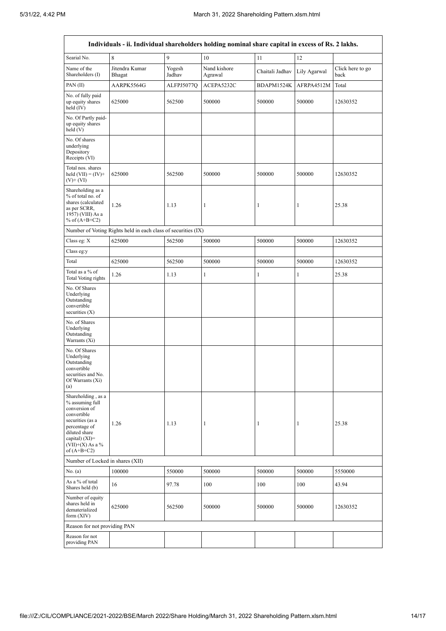$\mathsf{r}$ 

 $\overline{\phantom{0}}$ 

| Individuals - ii. Individual shareholders holding nominal share capital in excess of Rs. 2 lakhs.                                                                                    |                                                               |                  |                         |                 |              |                          |  |  |  |  |
|--------------------------------------------------------------------------------------------------------------------------------------------------------------------------------------|---------------------------------------------------------------|------------------|-------------------------|-----------------|--------------|--------------------------|--|--|--|--|
| Searial No.                                                                                                                                                                          | 8                                                             | 9                | 10                      | 11              | 12           |                          |  |  |  |  |
| Name of the<br>Shareholders (I)                                                                                                                                                      | Jitendra Kumar<br>Bhagat                                      | Yogesh<br>Jadhav | Nand kishore<br>Agrawal | Chaitali Jadhav | Lily Agarwal | Click here to go<br>back |  |  |  |  |
| PAN(II)                                                                                                                                                                              | AARPK5564G                                                    | ALFPJ5077Q       | ACEPA5232C              | BDAPM1524K      | AFRPA4512M   | Total                    |  |  |  |  |
| No. of fully paid<br>up equity shares<br>held (IV)                                                                                                                                   | 625000                                                        | 562500           | 500000                  | 500000          | 500000       | 12630352                 |  |  |  |  |
| No. Of Partly paid-<br>up equity shares<br>held(V)                                                                                                                                   |                                                               |                  |                         |                 |              |                          |  |  |  |  |
| No. Of shares<br>underlying<br>Depository<br>Receipts (VI)                                                                                                                           |                                                               |                  |                         |                 |              |                          |  |  |  |  |
| Total nos. shares<br>held $(VII) = (IV) +$<br>$(V)$ + $(VI)$                                                                                                                         | 625000                                                        | 562500           | 500000                  | 500000          | 500000       | 12630352                 |  |  |  |  |
| Shareholding as a<br>% of total no. of<br>shares (calculated<br>as per SCRR,<br>1957) (VIII) As a<br>% of $(A+B+C2)$                                                                 | 1.26                                                          | 1.13             | 1                       | 1               | 1            | 25.38                    |  |  |  |  |
|                                                                                                                                                                                      | Number of Voting Rights held in each class of securities (IX) |                  |                         |                 |              |                          |  |  |  |  |
| Class eg: X                                                                                                                                                                          | 625000                                                        | 562500           | 500000                  | 500000          | 500000       | 12630352                 |  |  |  |  |
| Class eg:y                                                                                                                                                                           |                                                               |                  |                         |                 |              |                          |  |  |  |  |
| Total                                                                                                                                                                                | 625000                                                        | 562500           | 500000                  | 500000          | 500000       | 12630352                 |  |  |  |  |
| Total as a % of<br>Total Voting rights                                                                                                                                               | 1.26                                                          | 1.13             | 1                       | $\mathbf{1}$    | $\mathbf{1}$ | 25.38                    |  |  |  |  |
| No. Of Shares<br>Underlying<br>Outstanding<br>convertible<br>securities $(X)$                                                                                                        |                                                               |                  |                         |                 |              |                          |  |  |  |  |
| No. of Shares<br>Underlying<br>Outstanding<br>Warrants (Xi)                                                                                                                          |                                                               |                  |                         |                 |              |                          |  |  |  |  |
| No. Of Shares<br>Underlying<br>Outstanding<br>convertible<br>securities and No.<br>Of Warrants (Xi)<br>(a)                                                                           |                                                               |                  |                         |                 |              |                          |  |  |  |  |
| Shareholding, as a<br>% assuming full<br>conversion of<br>convertible<br>securities (as a<br>percentage of<br>diluted share<br>capital) (XI)=<br>$(VII)+(X)$ As a %<br>of $(A+B+C2)$ | 1.26                                                          | 1.13             | 1                       | $\mathbf{1}$    | 1            | 25.38                    |  |  |  |  |
|                                                                                                                                                                                      | Number of Locked in shares (XII)                              |                  |                         |                 |              |                          |  |  |  |  |
| No. (a)                                                                                                                                                                              | 100000                                                        | 550000           | 500000                  | 500000          | 500000       | 5550000                  |  |  |  |  |
| As a % of total<br>Shares held (b)                                                                                                                                                   | 16                                                            | 97.78            | 100                     | 100             | 100          | 43.94                    |  |  |  |  |
| Number of equity<br>shares held in<br>dematerialized<br>form $(XIV)$                                                                                                                 | 625000                                                        | 562500           | 500000                  | 500000          | 500000       | 12630352                 |  |  |  |  |
| Reason for not providing PAN                                                                                                                                                         |                                                               |                  |                         |                 |              |                          |  |  |  |  |
| Reason for not<br>providing PAN                                                                                                                                                      |                                                               |                  |                         |                 |              |                          |  |  |  |  |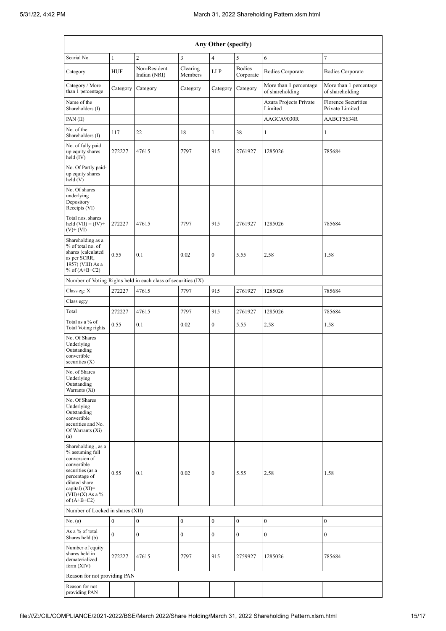| Any Other (specify)                                                                                                                                                                  |              |                                                               |                     |                  |                            |                                           |                                               |  |  |  |  |
|--------------------------------------------------------------------------------------------------------------------------------------------------------------------------------------|--------------|---------------------------------------------------------------|---------------------|------------------|----------------------------|-------------------------------------------|-----------------------------------------------|--|--|--|--|
| Searial No.<br>$\sqrt{2}$<br>$\overline{\mathbf{3}}$<br>$\boldsymbol{7}$<br>$\mathbf{1}$<br>$\overline{4}$<br>5<br>6                                                                 |              |                                                               |                     |                  |                            |                                           |                                               |  |  |  |  |
| Category                                                                                                                                                                             | <b>HUF</b>   | Non-Resident<br>Indian (NRI)                                  | Clearing<br>Members | <b>LLP</b>       | <b>Bodies</b><br>Corporate | <b>Bodies Corporate</b>                   | <b>Bodies Corporate</b>                       |  |  |  |  |
| Category / More<br>than 1 percentage                                                                                                                                                 | Category     | Category                                                      | Category            | Category         | Category                   | More than 1 percentage<br>of shareholding | More than 1 percentage<br>of shareholding     |  |  |  |  |
| Name of the<br>Shareholders (I)                                                                                                                                                      |              |                                                               |                     |                  |                            | Azura Projects Private<br>Limited         | <b>Florence Securities</b><br>Private Limited |  |  |  |  |
| PAN(II)                                                                                                                                                                              |              |                                                               |                     |                  |                            | AAGCA9030R                                | AABCF5634R                                    |  |  |  |  |
| No. of the<br>Shareholders (I)                                                                                                                                                       | 117          | 22                                                            | 18                  | $\mathbf{1}$     | 38                         | $\mathbf{1}$                              | $\mathbf{1}$                                  |  |  |  |  |
| No. of fully paid<br>up equity shares<br>held (IV)                                                                                                                                   | 272227       | 47615                                                         | 7797                | 915              | 2761927                    | 1285026                                   | 785684                                        |  |  |  |  |
| No. Of Partly paid-<br>up equity shares<br>held(V)                                                                                                                                   |              |                                                               |                     |                  |                            |                                           |                                               |  |  |  |  |
| No. Of shares<br>underlying<br>Depository<br>Receipts (VI)                                                                                                                           |              |                                                               |                     |                  |                            |                                           |                                               |  |  |  |  |
| Total nos. shares<br>held $(VII) = (IV) +$<br>$(V)$ + $(VI)$                                                                                                                         | 272227       | 47615                                                         | 7797                | 915              | 2761927                    | 1285026                                   | 785684                                        |  |  |  |  |
| Shareholding as a<br>% of total no. of<br>shares (calculated<br>as per SCRR,<br>1957) (VIII) As a<br>% of $(A+B+C2)$                                                                 | 0.55         | 0.1                                                           | 0.02                | $\overline{0}$   | 5.55                       | 2.58                                      | 1.58                                          |  |  |  |  |
|                                                                                                                                                                                      |              | Number of Voting Rights held in each class of securities (IX) |                     |                  |                            |                                           |                                               |  |  |  |  |
| Class eg: X                                                                                                                                                                          | 272227       | 47615                                                         | 7797                | 915              | 2761927                    | 1285026                                   | 785684                                        |  |  |  |  |
| Class eg:y                                                                                                                                                                           |              |                                                               |                     |                  |                            |                                           |                                               |  |  |  |  |
| Total                                                                                                                                                                                | 272227       | 47615                                                         | 7797                | 915              | 2761927                    | 1285026                                   | 785684                                        |  |  |  |  |
| Total as a % of<br>Total Voting rights                                                                                                                                               | 0.55         | 0.1                                                           | 0.02                | $\overline{0}$   | 5.55                       | 2.58                                      | 1.58                                          |  |  |  |  |
| No. Of Shares<br>Underlying<br>Outstanding<br>convertible<br>securities $(X)$                                                                                                        |              |                                                               |                     |                  |                            |                                           |                                               |  |  |  |  |
| No. of Shares<br>Underlying<br>Outstanding<br>Warrants (Xi)                                                                                                                          |              |                                                               |                     |                  |                            |                                           |                                               |  |  |  |  |
| No. Of Shares<br>Underlying<br>Outstanding<br>convertible<br>securities and No.<br>Of Warrants (Xi)<br>(a)                                                                           |              |                                                               |                     |                  |                            |                                           |                                               |  |  |  |  |
| Shareholding, as a<br>% assuming full<br>conversion of<br>convertible<br>securities (as a<br>percentage of<br>diluted share<br>capital) (XI)=<br>$(VII)+(X)$ As a %<br>of $(A+B+C2)$ | 0.55         | 0.1                                                           | 0.02                | $\boldsymbol{0}$ | 5.55                       | 2.58                                      | 1.58                                          |  |  |  |  |
| Number of Locked in shares (XII)                                                                                                                                                     |              |                                                               |                     |                  |                            |                                           |                                               |  |  |  |  |
| No. (a)                                                                                                                                                                              | $\mathbf{0}$ | $\boldsymbol{0}$                                              | $\boldsymbol{0}$    | $\boldsymbol{0}$ | $\bf{0}$                   | $\boldsymbol{0}$                          | $\mathbf{0}$                                  |  |  |  |  |
| As a % of total<br>Shares held (b)                                                                                                                                                   | $\mathbf{0}$ | $\boldsymbol{0}$                                              | $\boldsymbol{0}$    | $\overline{0}$   | $\bf{0}$                   | $\mathbf{0}$                              | $\mathbf{0}$                                  |  |  |  |  |
| Number of equity<br>shares held in<br>dematerialized<br>form $(XIV)$                                                                                                                 | 272227       | 47615                                                         | 7797                | 915              | 2759927                    | 1285026                                   | 785684                                        |  |  |  |  |
| Reason for not providing PAN                                                                                                                                                         |              |                                                               |                     |                  |                            |                                           |                                               |  |  |  |  |
| Reason for not<br>providing PAN                                                                                                                                                      |              |                                                               |                     |                  |                            |                                           |                                               |  |  |  |  |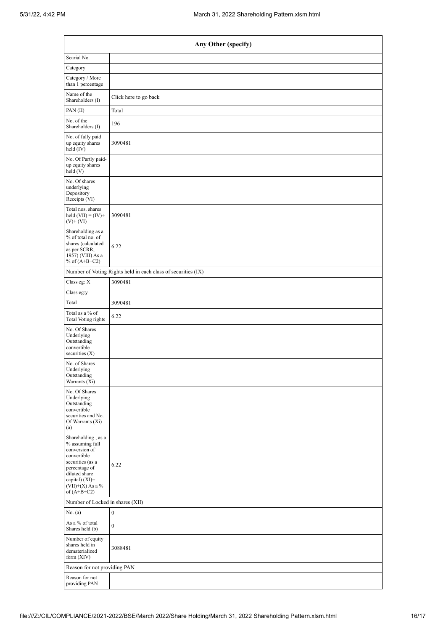| Any Other (specify)                                                                                                                                                                  |                                                               |  |  |  |  |  |  |  |  |
|--------------------------------------------------------------------------------------------------------------------------------------------------------------------------------------|---------------------------------------------------------------|--|--|--|--|--|--|--|--|
| Searial No.                                                                                                                                                                          |                                                               |  |  |  |  |  |  |  |  |
| Category                                                                                                                                                                             |                                                               |  |  |  |  |  |  |  |  |
| Category / More<br>than 1 percentage                                                                                                                                                 |                                                               |  |  |  |  |  |  |  |  |
| Name of the<br>Shareholders (I)                                                                                                                                                      | Click here to go back                                         |  |  |  |  |  |  |  |  |
| PAN $(II)$                                                                                                                                                                           | Total                                                         |  |  |  |  |  |  |  |  |
| No. of the<br>Shareholders (I)                                                                                                                                                       | 196                                                           |  |  |  |  |  |  |  |  |
| No. of fully paid<br>up equity shares<br>held (IV)                                                                                                                                   | 3090481                                                       |  |  |  |  |  |  |  |  |
| No. Of Partly paid-<br>up equity shares<br>held(V)                                                                                                                                   |                                                               |  |  |  |  |  |  |  |  |
| No. Of shares<br>underlying<br>Depository<br>Receipts (VI)                                                                                                                           |                                                               |  |  |  |  |  |  |  |  |
| Total nos. shares<br>held $(VII) = (IV) +$<br>$(V)$ + $(VI)$                                                                                                                         | 3090481                                                       |  |  |  |  |  |  |  |  |
| Shareholding as a<br>% of total no. of<br>shares (calculated<br>as per SCRR,<br>1957) (VIII) As a<br>% of $(A+B+C2)$                                                                 | 6.22                                                          |  |  |  |  |  |  |  |  |
|                                                                                                                                                                                      | Number of Voting Rights held in each class of securities (IX) |  |  |  |  |  |  |  |  |
| Class eg: X                                                                                                                                                                          | 3090481                                                       |  |  |  |  |  |  |  |  |
| Class eg:y                                                                                                                                                                           |                                                               |  |  |  |  |  |  |  |  |
| Total                                                                                                                                                                                | 3090481                                                       |  |  |  |  |  |  |  |  |
| Total as a % of<br><b>Total Voting rights</b>                                                                                                                                        | 6.22                                                          |  |  |  |  |  |  |  |  |
| No. Of Shares<br>Underlying<br>Outstanding<br>convertible<br>securities $(X)$                                                                                                        |                                                               |  |  |  |  |  |  |  |  |
| No. of Shares<br>Underlying<br>Outstanding<br>Warrants (Xi)                                                                                                                          |                                                               |  |  |  |  |  |  |  |  |
| No. Of Shares<br>Underlying<br>Outstanding<br>convertible<br>securities and No.<br>Of Warrants (Xi)<br>(a)                                                                           |                                                               |  |  |  |  |  |  |  |  |
| Shareholding, as a<br>% assuming full<br>conversion of<br>convertible<br>securities (as a<br>percentage of<br>diluted share<br>capital) (XI)=<br>$(VII)+(X)$ As a %<br>of $(A+B+C2)$ | 6.22                                                          |  |  |  |  |  |  |  |  |
| Number of Locked in shares (XII)                                                                                                                                                     |                                                               |  |  |  |  |  |  |  |  |
| No. (a)                                                                                                                                                                              | $\boldsymbol{0}$                                              |  |  |  |  |  |  |  |  |
| As a % of total<br>Shares held (b)                                                                                                                                                   | $\boldsymbol{0}$                                              |  |  |  |  |  |  |  |  |
| Number of equity<br>shares held in<br>dematerialized<br>form $(XIV)$                                                                                                                 | 3088481                                                       |  |  |  |  |  |  |  |  |
| Reason for not providing PAN                                                                                                                                                         |                                                               |  |  |  |  |  |  |  |  |
| Reason for not<br>providing PAN                                                                                                                                                      |                                                               |  |  |  |  |  |  |  |  |